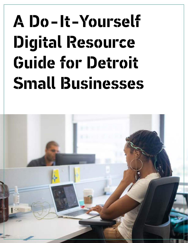# **A Do-It-Yourself Digital Resource Guide for Detroit Small Businesses**

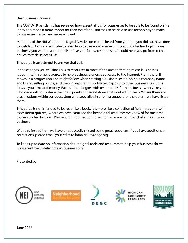#### Dear Business Owners

The COVID-19 pandemic has revealed how essential it is for businesses to be able to be found online. It has also made it more important than ever for businesses to be able to use technology to make things easier, faster, and more efficient.

Members of the NBI Worktable's Digital Divide committee heard from you that you did not have time to watch 30 hours of YouTube to learn how to use social media or incorporate technology in your business: you wanted a curated list of easy-to-follow resources that could help you go from technovice to tech-savvy NOW.

This guide is an attempt to answer that call.

In these pages you will find links to resources in most of the areas affecting micro-businesses. It begins with some resources to help business owners get access to the internet. From there, it moves in a progression one might follow when starting a business: establishing a company name and brand, selling online, and then incorporating software or apps into other business functions to save you time and money. Each section begins with testimonials from business owners like you who were willing to share their pain points or the solutions that worked for them. Where there are organizations within our ecosystem who specialize in offering support for a problem, we have listed them.

This guide is not intended to be read like a book. It is more like a collection of field notes and selfassessment quizzes, where we have captured the best digital resources we know of for business owners, sorted by topic. Please jump from section to section as you encounter challenges in your business.

With this first edition, we have undoubtedly missed some great resources. If you have additions or corrections, please email your edits to lmanigault@degc.org.

To keep up to date on information about digital tools and resources to help your business thrive, please visit www.detroitmeansbusiness.org.

Presented by

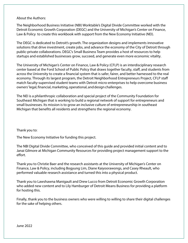About the Authors:

The Neighborhood Business Initiative (NBI) Worktable's Digital Divide Committee worked with the Detroit Economic Growth Corporation (DEGC) and the University of Michigan's Center on Finance, Law & Policy to create this workbook with support from the New Economy Initiative (NEI).

The DEGC is dedicated to Detroit's growth. The organization designs and implements innovative solutions that drive investment, create jobs, and advance the economy of the City of Detroit through public-private collaborations. DEGC's Small Business Team provides a host of resources to help startups and established businesses grow, succeed, and generate even more economic vitality.

The University of Michigan's Center on Finance, Law & Policy (CFLP) is an interdisciplinary research center based at the Ford School of Public Policy that draws together faculty, staff, and students from across the University to create a financial system that is safer, fairer, and better harnessed to the real economy. Through its largest program, the Detroit Neighborhood Entrepreneurs Project, CFLP staff match faculty-supervised student teams with Detroit micro-enterprises to help overcome business owners' legal, financial, marketing, operational, and design challenges.

The NEI is a philanthropic collaboration and special project of the Community Foundation for Southeast Michigan that is working to build a regional network of support for entrepreneurs and small businesses. Its mission is to grow an inclusive culture of entrepreneurship in southeast Michigan that benefits all residents and strengthens the regional economy.

### Thank you to:

The New Economy Initiative for funding this project.

The NBI Digital Divide Committee, who conceived of this guide and provided initial content and to Janai Gilmore at Michigan Community Resources for providing project management support to the effort.

Thank you to Christie Baer and the research assistants at the University of Michigan's Center on Finance, Law & Policy, including Bogyung Lim, Diane Kaiyoorawongs, and Casey Rheault, who performed valuable research assistance and turned this into a physical product.

Thank you to Lawshawna Manigault and Drew Lucco from Detroit Economic Growth Corporation who added new content and to Lily Hamburger of Detroit Means Business for providing a platform for hosting this.

Finally, thank you to the business owners who were willing to willing to share their digital challenges for the sake of helping others.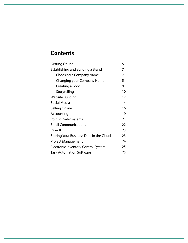### **Contents**

| <b>Getting Online</b>                      | 5  |  |
|--------------------------------------------|----|--|
| Establishing and Building a Brand          |    |  |
| <b>Choosing a Company Name</b>             | 7  |  |
| <b>Changing your Company Name</b>          | 8  |  |
| Creating a Logo                            | 9  |  |
| Storytelling                               | 10 |  |
| Website Building                           | 12 |  |
| Social Media                               | 14 |  |
| Selling Online                             | 16 |  |
| Accounting                                 | 19 |  |
| <b>Point of Sale Systems</b>               | 21 |  |
| <b>Email Communications</b>                | 22 |  |
| Payroll                                    | 23 |  |
| Storing Your Business Data in the Cloud    | 23 |  |
| <b>Project Management</b>                  | 24 |  |
| <b>Electronic Inventory Control System</b> | 25 |  |
| Task Automation Software                   | 25 |  |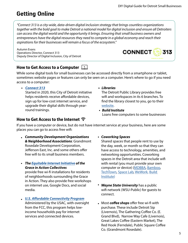# **Getting Online**

*"Connect 313 is a city-wide, data-driven digital inclusion strategy that brings countless organizations together with the bold goal to make Detroit a national model for digital inclusion and ensure all Detroiters can access the digital world and the opportunity it brings. Ensuring that small business owners and entrepreneurs have the digital resources they need to compete in a global economy and reach their aspirations for their businesses will remain a focus of the ecosystem."*

Autumn Evans Operations Director, Connect 313 Deputy Director of Digital Inclusion, City of Detroit



### **How to Get Access to a Computer**

While some digital tools for small businesses can be accessed directly from a smartphone or tablet, sometimes website pages or features can only be seen on a computer. Here's where to go if you need access to a computer:

*• [Connect 313](https://connect313.org/introducing-the-connect-313-fund/) •*

Started in 2020, this City of Detroit initiative helps residents receive affordable devices, sign up for low-cost internet service, and upgrade their digital skills through yearround trainings.

*Libraries* 

The Detroit Public Library provides free wifi and workspaces in its 6 branches. To find the library closest to you, go to their [website.](https://detroitpubliclibrary.org/locations)

*•* **Build [Institute](https://www.buildinstitute.org/godaddy-detroit-program/)** Loans free computers to some businesses

### **How to Get Access to the Internet**

If you have a computer or device, but do not have internet service at your business, here are some places you can go to access free wifi:

- *• Community Development Organizations & Neighborhood Associations*: Grandmont Rosedale Development Corporation, Jefferson East, Inc. and some others offer free wifi to its small business members.
- *• The [Equitable Internet Initiative](http://www.giacollectives.org/?q=collectives/eii) of the Grace in Action Collectives*

provide free wi-fi installations for residents of neighborhoods surrounding the Grace in Action. They also provide free workshops on internet use, Google Docs, and social media.

- *• [U.S. Affordable Connectivity Program](U.S. Affordable Connectivity Program. Administered by the USAC, with oversight from the FCC, this program helps low-income households pay for internet services and connected devices.)* 
	- Administered by the USAC, with oversight from the FCC, this program helps lowincome households pay for internet services and connected devices.

### *• Coworking Spaces*

Shared spaces that people rent to use by the day, week, or month so that they can have access to technology, amenities, and networking opportunities. Coworking spaces in the Detroit area that include wifi with rental (you must provide your own computer or device) ([MDBBA,](https://mdbba.com/) [Bamboo,](https://www.bamboohr.com/) [TechTown,](https://techtowndetroit.org/) [Space Lab,](https://spacelabdetroit.com/) [WeWork](https://www.wework.com/), [Build](Lawshawna Manigault and Drew Lucco from Detroit Economic Growth Corporation)  [Institute\)](Lawshawna Manigault and Drew Lucco from Detroit Economic Growth Corporation)

- *• Wayne State University* has a public wifi network (WSU-Public) for guests to connect.
- *•* Most *coffee shops* offer free wi-fi with purchase. These include Detroit Sip (Livernois), The Gathering Coffee Co. (E. Grand Blvd), Narrow Way Cafe (Livernois), Great Lakes Coffee (Eastern Market), The Red Hook (Ferndale), Public Square Coffee Co. (Grandmont Rosedale).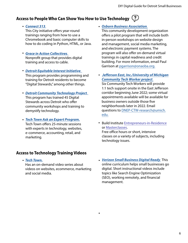### **Access to People Who Can Show You How to Use Technology**

*• [Connect 313](https://connect313.org/resources/)*.

This City initiative offers year-round trainings ranging from how to use a Chromebook and basic computer skills to how to do coding in Python, HTML, or Java.

- *• [Grace in Action Collectives](http://www.giacollectives.org/?q=collectives/eii)*. Nonprofit group that provides digital training and access to cable.
- *• [Detroit Equitable Interest Initiative](https://detroitcommunitytech.org/eii)*. This program provides programming and training for Detroit residents to become "Digital Stewards," among other things.
- *• [Detroit Community Technology Project](https://detroitcommunitytech.org/?q=eii)*. This program has trained 45 Digital Stewards across Detroit who offer community workshops and training to demystify technology.
- *• [Tech Town Ask an Expert Program.](Through its Ask An Expert program, Tech Town offers 25-minute sessions with experts in technology, websites, e-commerce, accounting, retail, and marketing.)* Tech Town offers 25-minute sessions with experts in technology, websites, e-commerce, accounting, retail, and marketing.

### **Access to Technology Training Videos**

*[Tech Town.](https://techtowndetroit.org/training-series/) •*

Has an on-demand video series about videos on websites, ecommerce, marketing and social media.

*• [Osborn Business Association](https://liveinosborn1.org)*.

This community development organization offers a pilot program that will include both in-person workshops on website design and management, social media marketing, and electronic payment systems. The program will also offer on-demand virtual trainings in capital readiness and credit building. For more information, email Paul Garrison at [pgarrison@onaoba.org.](mailto:pgarrison@onaoba.org)

*•  [Jefferson East, Inc./University of Michigan](https://financelawpolicy.umich.edu/research-projects/community-engaged-research-community-tech-workers) [Community Tech Worker project](https://financelawpolicy.umich.edu/research-projects/community-engaged-research-community-tech-workers)*.

Six Community Tech Workers will provide 1:1 tech support onsite in the East Jefferson corridor beginning June 2022; some virtual appointments available will be available for business owners outside those five neighborhoods later in 2022. Email questions to [DNEP-CTW-research@umich.](mailto:DNEP-CTW-research@umich.edu) [edu.](mailto:DNEP-CTW-research@umich.edu)

• Build Institute **[Entrepreneurs-in-Residence](https://www.buildinstitute.org/entrepreneurs-in-residence/)** or [Masterclasses.](https://www.buildinstitute.org/courses/build-master-class/)

Free office hours or short, intensive classes on a variety of subjects, including technology issues.

*• [Verizon Small Business Digital Ready](https://www.verizon.com/about/responsibility/digital-inclusion/small-business-training)*. This online curriculum helps small businesses go digital. Short instructional videos include topics like Search Engine Optimization (SEO), working remotely, and financial management.

*•*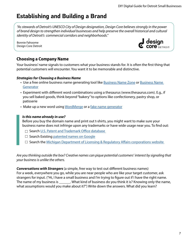### **Establishing and Building a Brand**

*"As stewards of Detroit's UNESCO City of Design designation, Design Core believes strongly in the power of brand design to strengthen individual businesses and help preserve the overall historical and cultural identity of Detroit's commercial corridors and neighborhoods."*

Bonnie Fahoome Design Core Detroit



### **Choosing a Company Name**

Your business' name signals to customers what your business stands for. It is often the first thing that potential customers will encounter. You want it to be memorable and distinctive.

### *Strategies for Choosing a Business Name*

- Use a free online business name generating tool like **Business Name Zone or [Business Name](https://businessnamegenerator.com/)** [Generator](https://businessnamegenerator.com/)
- Experiment with different word combinations using a thesaurus (www.thesaurus.com). E.g., if you sell baked goods, think beyond "bakery" to options like confectionery, pastry shop, or patisserie
- Make up a new word using [WordMerge](https://werdmerge.com/) or a [fake name generator](https://www.wordgenerator.net/fake-word-generator.php)

### *Is this name already in use?*

Before you buy the domain name and print out t-shirts, you might want to make sure your business name does not infringe upon any trademarks or have wide usage near you. To find out:

- □ Search U.S. Patent and Trademark Office database
- $\Box$  Search Existing [patented names on Google](https://patents.google.com/)
- $\Box$  Search the Michigan Department of Licensing & Regulatory Affairs corporations website

*Are you thinking outside the box? Creative names can pique potential customers' interest by signaling that your business is unlike the others.*

*Conversations with Strangers* (a simple, free way to test out different business names) For a week, everywhere you go, while you are near people who are like your target customer, ask strangers for input. ("Hi, I have a small business and I'm trying to figure out if I have the right name. The name of my business is \_\_\_\_\_\_. What kind of business do you think it is? Knowing only the name, what assumptions would you make about it?") Write down the answers. What did you learn?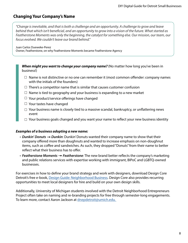### **Changing Your Company's Name**

*"Change is inevitable, and that is both a challenge and an opportunity. A challenge to grow and leave behind that which isn't beneficial, and an opportunity to grow into a vision of the future. What started as Featherstone Moments was only the beginning, the catalyst for something else. Our mission, our team, our focus evolved. We couldn't leave our brand behind."*

Juan Carlos Dueweke-Perez

Owner, Featherstone, on why Featherstone Moments became Featherstone Agency

**When might you want to change your company name?** (No matter how long you've been in business!)

- $\Box$  Name is not distinctive or no one can remember it (most common offender: company names with the initials of the founders)
- $\Box$  There's a competitor name that is similar that causes customer confusion
- $\Box$  Name is tied to geography and your business is expanding to a new market
- $\Box$  Your product/service offerings have changed
- $\Box$  Your tastes have changed
- $\Box$  Your business name is closely tied to a massive scandal, bankruptcy, or unflattering news event
- $\Box$  Your business goals changed and you want your name to reflect your new business identity

### *Examples of a business adopting a new name:*

- *Dunkin' Donuts Dunkin*: Dunkin' Donuts wanted their company name to show that their company offered more than doughnuts and wanted to increase emphasis on non-doughnut items, such as coffee and sandwiches. As such, they dropped "Donuts" from their name to better reflect what their business has to offer.
- **Featherstone Moments → Featherstone**: The new brand better reflects the company's marketing and public relations services with expertise working with immigrant, BIPoC and LGBTQ-owned businesses.

For exercises in how to define your brand strategy and work with designers, download Design Core Detroit's free e-book, [Design Guide: Neighborhood Business](https://designcore.org/businesses-and-community/tools-and-education/). Design Core also provides recurring opportunities to meet local designers for hire and build on your own design skills.

Additionally, University of Michigan students involved with the Detroit Neighborhood Entrepreneurs Project often take on naming and re-branding projects for free through semester-long engagements. To learn more, contact Aaron Jackson at [dnepdetroit@umich.edu.](http://mailto:dnepdetroit@umich.edu)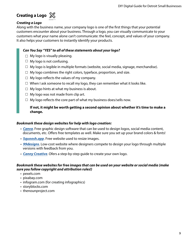### **Creating a Logo**



### *Creating a Logo*

Along with the business name, your company logo is one of the first things that your potential customers encounter about your business. Through a logo, you can visually communicate to your customers what your name alone can't communicate: the feel, concept, and values of your company. It also helps your customers to instantly identify your products.

### *Can You Say "YES" to all of these statements about your logo?*

- $\Box$  My logo is visually pleasing.
- $\Box$  My logo is not confusing.
- $\Box$  My logo is legible in multiple formats (website, social media, signage, merchandise).
- $\Box$  My logo combines the right colors, typeface, proportion, and size.
- $\Box$  My logo reflects the values of my company.
- $\Box$  When I ask someone to recall my logo, they can remember what it looks like.
- $\Box$  My logo hints at what my business is about.
- $\Box$  My logo was not made from clip art.
- $\Box$  My logo reflects the core part of what my business does/sells now.

### **If not, it might be worth getting a second opinion about whether it's time to make a change.**

### *Bookmark these design websites for help with logo creation:*

- *[Canva](https://www.canva.com/)*. Free graphic design software that can be used to design logos, social media content, documents, etc. Offers free templates as well. Make sure you set up your brand colors & fonts!
- *[Squoosh.app](https://squoosh.app/)*. Free website used to resize images.
- *[99designs](https://99designs.com/)*. Low-cost website where designers compete to design your logo through multiple versions with feedback from you.
- *[Canny Creative](https://www.canny-creative.com/creating-brand-guidelines/)*. Ofers a step-by-step guide to create your own logo.

#### *Bookmark these websites for free images that can be used on your website or social media (make sure you follow copyright and attribution rules!)*

- pexels.com
- pixabay.com
- infogram.com (for creating infographics)
- storyblocks.com
- thenounproject.com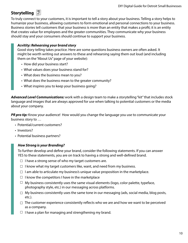### **Storytelling**

To truly connect to your customers, it is important to tell a story about your business. Telling a story helps to humanize your business, allowing customers to form emotional and personal connections to your business. Business stories tell customers that your business is more than an entity that makes a profit; it is an entity that creates value for employees and the greater communities. They communicate why your business should stay and your consumers should continue to support your business.

### *Acvitity: Rehearsing your brand story*

Good story telling takes practice. Here are some questions business owners are often asked. It might be worth writing out answers to these and rehearsing saying them out loud (and including them on the "About Us" page of your website):

- How did your business start?
- What values does your business stand for?
- What does the business mean to you?
- What does the business mean to the greater community?
- What inspires you to keep your business going?

*Advanced Level Communications:* work with a design team to make a storytelling "kit" that includes stock language and images that are always approved for use when talking to potential customers or the media about your company.

**PR pro tip:** Know your audience! How would you change the language you use to communicate your business story to …

- Potential/current customers?
- Investors?
- Potential business partners?

### *How Strong is your Branding?*

To further develop and define your brand, consider the following statements. If you can answer YES to these statements, you are on track to having a strong and well-defined brand.

- $\Box$  I have a strong sense of who my target customers are.
- $\Box$  I know what my target customers like, want, and need from my business.
- $\Box$  I am able to articulate my business's unique value proposition in the marketplace.
- $\Box$  I know the competitors I have in the marketplace
- $\Box$  My business consistently uses the same visual elements (logo, color palette, typeface, photography style, etc.) in our messaging across platforms.
- $\Box$  My business consistently uses the same tone in our messaging (ads, social media, blog posts, etc.).
- $\Box$  The customer experience consistently reflects who we are and how we want to be perceived as a company.
- $\Box$  I have a plan for managing and strengthening my brand.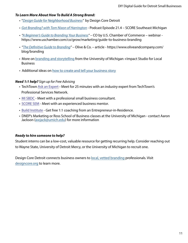#### *To Learn More About How To Build A Strong Brand:*

- "*[Design Guide for Neighborhood Business"](https://designcore.org/wp-content/uploads/2018/06/DesignGuide_DigitalUpload.pdf)* by Design Core Detroit
- *• [Got Branding? with Tom Nixon of Harrington](https://semichigan.score.org/blog/do-small-businesses-have-or-need-brand)* Podcast Episode 21.4 SCORE Southeast Michigan
- *["A Beginner's Guide to Branding Your Business"](https://www.uschamber.com/co/grow/marketing/guide-to-business-branding)* CO by U.S. Chamber of Commerce webinar https://www.uschamber.com/co/grow/marketing/guide-to-business-branding
- *"[The Definitive Guide to Branding](https://www.oliveandcompany.com/blog/branding)"* Olive & Co. article https://www.oliveandcompany.com/ blog/branding
- More on **branding and storytelling from the University of Michigan +Impact Studio for Local Business**
- Additional ideas on [how to create and tell your business story](https://www.columnfivemedia.com/how-to-tell-a-brand-story/)

### *Need 1:1 help? Sign up for Free Advising*

- TechTown [Ask an Expert](https://techtowndetroit.org/ask-an-expert/) [Meet for 25 minutes with an industry expert](https://techtowndetroit.org/?press-release=techtown-offers-free-consultations-with-business-experts) from TechTown's Professional Services Network.
- [MI SBDC](https://sbdcmichigan.org/)  Meet with a professional small business consultant.
- [SCORE SEM -](https://semichigan.score.org/) Meet with an experienced business mentor.
- [Build Institute](https://www.buildinstitute.org/entrepreneurs-in-residence/) Get free 1:1 coaching from an Entrepreneur-in-Residence.
- DNEP's Marketing or Ross School of Business classes at the University of Michigan contact Aaron Jackson [\(awjack@umich.edu\)](mailto:awjack@umich.edu) for more information

### *Ready to hire* **s***omeone to help?*

Student interns can be a low-cost, valuable resource for getting recurring help. Consider reaching out to Wayne State, University of Detroit Mercy, or the University of Michigan to recruit one.

Design Core Detroit connects business owners to [local, vetted branding](https://designcore.org/businesses-and-community/hire-a-designer/) professionals. Visit [designcore.org](https://designcore.org/) to learn more.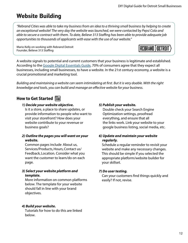**REBRAND ) DETROIT** 

# **Website Building**

*"Rebrand Cities was able to take my business from an idea to a thriving small business by helping to create an exceptional website! The very day the website was launched, we were contacted by Pepsi Cola and able to secure a contract with them. To date, Believe 313 Staffing has been able to provide adequate job opportunities to thousands of applicants with ease with the use of our website."*

Mario Kelly on working with Rebrand Detroit Founder, Believe 313 Staffing

A website signals to potential and current customers that your business is legitimate and established. According to the [Google Digital Essentials Guide,](https://smallbusiness.withgoogle.com/digital-essentials-guide#!/) 70% of consumers agree that they expect all businesses, including small businesses, to have a website. In the 21st century economy, a website is a crucial promotional and marketing tool.

*Building and maintaining a website can seem intimidating at first. But it is very doable. With the right knowledge and tools, you can build and manage an effective website for your business.* 

### **How to Get Started**

### **1)** *Decide your website objective.*

Is it a store, a place to share updates, or provide information to people who want to visit your storefront? How does your website contribute to your revenue or business goals?

### **2)** *Outline the pages you will want on your website.*

Common pages include About us, Services/Products, Hours, Contact us/ Feedback, Location. Consider what you want the customer to learn/do on each page.

### **3)** *Select your website platform and template.*

More information on common platforms below. The template for your website should fall in line with your brand objectives.

### **4)** *Build your website.*

Tutorials for how to do this are linked below.

### *5) Publish your website.*

Double check your Search Engine Optimization settings, proofread everything, and ensure that all the links work. Link your website to your google business listing, social media, etc.

### *6) Update and maintain your website regularly.*

Schedule a regular reminder to revisit your website and make any necessary changes. This should be simple if you selected the appropriate platform/website builder for your skillset.

### *7) Do user testing.*

Can your customers find things quickly and easily? If not, revise.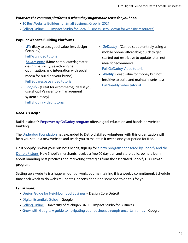### *What are the common platforms & when they might make sense for you? See:*

- [10 Best Website Builders for Small Business: Grow in 2021](https://www.websitebuilderexpert.com/website-builders/small-business)
- [Selling Online +Impact Studio for Local Business \(scroll down for website resources\)](https://impactstudioforlocalbusiness.org/selling-online)

### **Popular Website Building Platforms**

- *[Wix](https://www.wix.com/ecommerce/website)* (Easy to use, good value, less design flexibility) [Full Wix video tutorial](https://www.youtube.com/watch?v=nIKbN5pBSXo)
- *[Squarespace](https://www.squarespace.com/how-to/build-a-website)* (More complicated; greater design flexibility; search engine optimization, and integration with social media for building your brand) [Full Squarespace video tutorial](https://www.youtube.com/watch?v=f7q6eFnEZ7Y)
- *[Shopify](https://www.shopify.com/blog/start-online-store)* (Great for ecommerce; ideal if you use Shopify's inventory management system already) [Full Shopify video tutorial](https://www.youtube.com/watch?v=7--_KA2sy9Y)
- *[GoDaddy](https://fitsmallbusiness.com/how-to-build-a-godaddy-website/)* (Can be set up entirely using a mobile phone; affordable; quick to get started but restrictive to update later; not ideal for ecommerce) [Full GoDaddy Video tutorial](https://www.youtube.com/watch?v=7LAkVYe4Lj8)
- *[Weebly](https://www.websitebuilderexpert.com/website-builders/how-to-use-weebly/)* (Great value for money but not intuitive to build and maintain websites) [Full Weebly video tutorial](https://www.youtube.com/watch?v=nLJvniZrSp4)

### *Need 1:1 help?*

Build Institute's [Empower by GoDaddy program](https://www.buildinstitute.org/godaddy-detroit-program/) offers digital education and hands-on website building.

The [Underdog Foundation](https://iamtuf.org/our-services) has expanded to Detroit! Skilled volunteers with this organization will help you set up a new website and teach you to maintain it over a one year period for free.

Or, if Shopify is what your business needs, sign up for a new program sponsored by Shopify and the [Detroit Pistons.](https://www.shopify.com/building-shop-313) New Shopify merchants receive a free 60 day trail and store build; owners learn about branding best practices and marketing strategies from the associated Shopify GO Growth program.

Setting up a website is a huge amount of work, but maintaining it is a weekly commitment. Schedule time each week to do website updates, or consider hiring someone to do this for you!

### *Learn more:*

- [Design Guide for Neighborhood Business](https://designcore.org/wp-content/uploads/2018/06/DesignGuide_DigitalUpload.pdf) Design Core Detroit
- [Digital Essentials Guide](https://smallbusiness.withgoogle.com/digital-essentials-guide#!/) Google
- [Selling Online](https://impactstudioforlocalbusiness.org/selling-online)  University of Michigan DNEP +Impact Studio for Business
- [Grow with Google: A guide to navigating your business through uncertain times –](https://services.google.com/fh/files/misc/growwithgooglebusinessresources.pdf) Google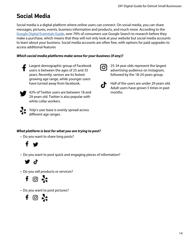# **Social Media**

Social media is a digital platform where online users can connect. On social media, you can share messages, pictures, events, business information and products, and much more. According to the [Google Digital Essentials Guide,](https://smallbusiness.withgoogle.com/digital-essentials-guide#!/) over 70% of consumers use Google Search to research before they make a purchase, which means that they will not only look at your website but social media accounts to learn about your business. Social media accounts are often free, with options for paid upgrades to access additional features

### *Which social media platforms make sense for your business (if any)?*



Largest demographic group of Facebook users is between the ages of 25 and 35 years. Recently, seniors are its fastest growing age range, while younger users have turned away from facebook.

42% of Twitter users are between 18 and 29 years old. Twitter is also popular with white collar workers.



Yelp's user base is evenly spread across different age ranges.

### *What platform is best for what you are trying to post?*

• Do you want to share long posts?



• Do you want to post quick and engaging pieces of information?



• Do you sell products or services?



• Do you want to post pictures?





25-34 year olds represent the largest advertising audience on Instagram, followed by the 18-24 years group.

Half of the users are under 29 years old. Adult users have grown 5 times in past months.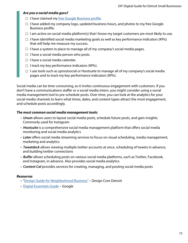### *Are you a social media guru?*

- $\Box$  I have claimed my [free Google Business profile.](https://www.google.com/business/?ppsrc=GMBB0&utm_campaign=us-en_US-et-gs-z-gmb-s-z-h~sb-g4sb-u&utm_source=gmb&utm_medium=et&gmbsrc=us-en_US-et-gs-z-gmb-s-z-h~sb-g4sb-u-WLC-3EG-SEC)
- $\Box$  I have added my company logo, updated business hours, and photos to my free Google Business profile.
- $\Box$  I am active on social media platform(s) that I know my target customers are most likely to use.
- $\Box$  I have identified social media marketing goals as well as key performance indicators (KPIs) that will help me measure my success.
- $\Box$  I have a system in place to manage all of my company's social media pages.
- $\Box$  I have a social media person who posts.
- $\Box$  I have a social media calendar.
- $\Box$  I track my key performance indicators (KPIs).
- $\Box$  I use tools such as sproutsocial or Hootsuite to manage all of my company's social media pages and to track my key performance indicators (KPIs).

Social media can be time-consuming, as it invites continuous engagement with customers. If you don't have a communications staffer or a social media intern, you might consider using a social media management tool to pre-schedule posts. Over time, you can look at the analytics for your social media channels to learn what times, dates, and content types attract the most engagement, and schedule posts accordingly.

#### *The most common social media management tools:*

- *Unum* allows users to layout social media posts, schedule future posts, and gain insights. Commonly used for Instagram
- *Hootsuite* is a comprehensive social media management platform that offers social media monitoring and social media analytics
- *Later* offers social media streaming services to focus on visual scheduling, media management, marketing and analytics
- *Tweetdeck* allows viewing multiple twitter accounts at once, scheduling of tweets in advance, and building twitter connections
- *Buffer* allows scheduling posts on various social media platforms, such as Twitter, Facebook, and Instagram, in advance. Also provides social media analytics
- *Content Cal* provides services for creating, managing, and posting social media posts

#### *Resources*

- "[Design Guide for Neighborhood Business"](https://designcore.org/wp-content/uploads/2018/06/DesignGuide_DigitalUpload.pdf) Design Core Detroit
- [Digital Essentials Guide](https://smallbusiness.withgoogle.com/digital-essentials-guide#!/) Google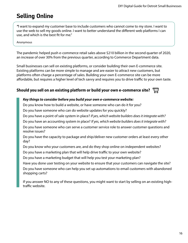### **Selling Online**

*"*I want to expand my customer base to include customers who cannot come to my store. I want to use the web to sell my goods online. I want to better understand the different web platforms I can use, and which is the best fit for me."

Anonymous

The pandemic helped push e-commerce retail sales above \$210 billion in the second quarter of 2020, an increase of over 30% from the previous quarter, according to Commerce Department data.

Small businesses can sell on existing platforms, or consider building their own E-commerce site. Existing platforms can be more simple to manage and are easier to attract new customers, but platforms often charge a percentage of sales. Building your own E-commerce site can be more affordable, but requires a higher level of tech savvy and requires you to drive traffic to your own taste.

### **Should you sell on an existing platform or build your own e-commerce site?**

### *Key things to consider before you build your own e-commerce website:*

Do you know how to build a website, or have someone who can do it for you?

Do you have someone who can do website updates for you quickly?

Do you have a point of sale system in place? *If yes, which website builders does it integrate with?* 

Do you have an accounting system in place? *If yes, which website builders does it integrate with?*

Do you have someone who can serve a customer service role to answer customer questions and resolve issues?

Do you have the capacity to package and ship/deliver new customer orders at least every other day?

Do you know who your customers are, and do they shop online on independent websites?

Do you have a marketing plan that will help drive traffic to your own website?

Do you have a marketing budget that will help you test your marketing plan?

Have you done user testing on your website to ensure that your customers can navigate the site?

Do you have someone who can help you set up automations to email customers with abandoned shopping carts?

If you answer NO to any of these questions, you might want to start by selling on an existing hightraffic website.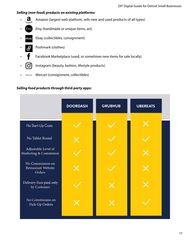### *Selling (non-food) products on existing platforms:*

**a** Amazon (largest web platform, sells new and used products of all types)

- **Etsy** Etsy (handmade or unique items, art)
- Ebay (collectibles, consignment)
- **P** Poshmark (clothes)
- Facebook Marketplace (used, or sometimes new items for sale locally)
- $\sigma$  Instagram (beauty, fashion, lifestyle products)
- Mercari (consignment, collectibles)

### *Selling food products through third-party apps:*

|                                                  | <b>DOORDASH</b> | <b>GRUBHUB</b> | <b>UBEREATS</b> |
|--------------------------------------------------|-----------------|----------------|-----------------|
| No Start-Up Costs                                |                 |                |                 |
| No Tablet Rental                                 |                 |                |                 |
| Adjustable Level of<br>Marketing & Commision     |                 |                |                 |
| No Commission on<br>Restaurant Website<br>Orders |                 |                |                 |
| Delivery Fees paid only<br>by Customer           |                 |                |                 |
| No Commission on<br>Pick-Up Orders               |                 |                |                 |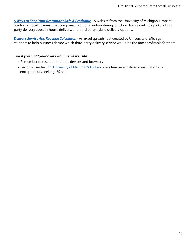*[5 Ways to Keep Your Restaurant Safe & Profitable](https://smallbusiness.withgoogle.com/digital-essentials-guide#!/)* - A website from the University of Michigan +Impact Studio for Local Business that compares traditional indoor dining, outdoor dining, curbside pickup, third party delivery apps, in-house delivery, and third party hybrid delivery options.

*[Delivery Service App Revenue Calculator.](https://impactstudioforlocalbusiness.org/delivery-service-revenue-calculator)* - An excel spreadsheet created by University of Michigan students to help business decide which third-party delivery service would be the most profitable for them.

### *Tips if you build your own e-commerce website:*

- Remember to test it on multiple devices and browsers.
- Perform user testing. [University of Michigan's UX Lab](https://www.uxlab.si.umich.edu/) offers free personalized consultations for entrepreneurs seeking UX help.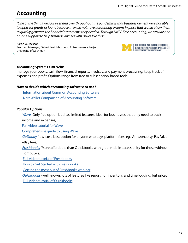### **Accounting**

*"One of the things we saw over and over throughout the pandemic is that business owners were not able to apply for grants or loans because they did not have accounting systems in place that would allow them to quickly generate the financial statements they needed. Through DNEP Free Accounting, we provide oneon-one support to help business owners with issues like this."*

Aaron W. Jackson Program Manager, Detroit Neighborhood Entrepreneurs Project University of Michigan



### *Accounting Systems Can Help:*

manage your books, cash flow, financial reports, invoices, and payment processing; keep track of expenses and profit. Options range from free to subscription-based tools.

### *How to decide which accounting software to use?*

- [Information about Common Accounting Software](https://fitsmallbusiness.com/best-small-business-accounting-software/)
- [NerdWallet Comparison of Accounting Software](https://www.nerdwallet.com/article/small-business/20-apps-small-business-owners)

### *Popular Options:*

 • *[Wave](https://www.waveapps.com/accounting/?utm_campaign=847004632-SL&utm_medium=wp-nb&utm_source=google&utm_term=46057922554-wave-e_new_nv&utm_content=c--272276889537_Sitelink_Accounting-2-SL&utm_campaign=acq-us-branded&utm_medium=wp-bs&utm_source=google&utm_term=46057922554-wave-e_new_nv&utm_content=c--272276889537_nv_nv&gclid=Cj0KCQiA15yNBhDTARIsAGnwe0UM5Sh20zLx83qHkzRDJvdJS__vFl9YhV6-KyY57hoKMoPb6fzt5HIaAgf0EALw_wcB)* (Only free option but has limited features. Ideal for businesses that only need to track income and expenses)

[Full video tutorial for Wave](https://www.youtube.com/watch?v=cxOVfZQHLOM)

[Comprehensive guide to using Wave](https://s3.amazonaws.com/wave-prod-customer-success/downloads/Wave-Fearless-Accounting-Guide.pdf)

- *[GoDaddy](https://www.godaddy.com/email/online-bookkeeping)* (low-cost; best option for anyone who pays platform fees, eg., Amazon, etsy, PayPal, or eBay fees)
- *[Freshbooks](https://www.freshbooks.com/)* (More affordable than Quickbooks with great mobile accessibility for those without computers)

[Full video tutorial of Freshbooks](https://www.youtube.com/watch?v=5cbVSCjQr5g&t=19s)

[How to Get Started with Freshbooks](https://www.youtube.com/watch?v=LpS0nZ1uJyI)

[Getting the most out of Freshbooks webinar](https://www.youtube.com/watch?v=siE0KgBQHFQ)

 • *[Quickbooks](https://quickbooks.intuit.com/accounting/)* (well known, lots of features like reporting, inventory, and time logging, but pricey) [Full video tutorial of Quickbooks](https://www.youtube.com/watch?v=jOtsT91SZ2A)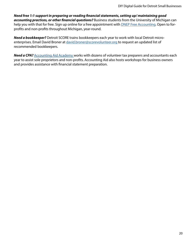*Need free 1:1 support in preparing or reading financial statements, setting up/ maintaining good accounting practices, or other financial questions?* Business students from the University of Michigan can help you with that for free. Sign up online for a free appointment with **DNEP Free Accounting.** Open to forprofits and non-profits throughout Michigan, year-round.

*Need a bookkeeper?* Detroit SCORE trains bookkeepers each year to work with local Detroit microenterprises. Email David Broner at [david.broner@scorevolunteer.org t](mailto:david.broner@scorevolunteers.org)o request an updated list of recommended bookkeepers.

**Need a CPA?** [Accounting Aid Academy](https://www.accountingaidacademy.org/) works with dozens of volunteer tax preparers and accountants each year to assist sole proprietors and non-profits. Accounting Aid also hosts workshops for business owners and provides assistance with financial statement preparation.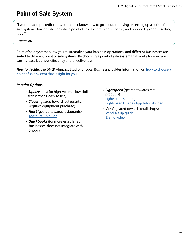# **Point of Sale System**

*"*I want to accept credit cards, but I don't know how to go about choosing or setting up a point of sale system. How do I decide which point of sale system is right for me, and how do I go about setting it up?"

Anonymous

Point of sale systems allow you to streamline your business operations, and different businesses are suited to different point of sale systems. By choosing a point of sale system that works for you, you can increase business efficiency and effectiveness.

*How to decide:* the DNEP +Impact Studio for Local Business provides information on how to choose a [point of sale system that is right for you](https://financelawpolicy.umich.edu/dnep-impact-studio-local-business/point-sale).

### *Popular Options:*

- *Square* (best for high-volume, low-dollar transactions; easy to use)
- *Clover* (geared toward restaurants, requires equipment purchase)
- *Toast* (geared towards restaurants) [Toast Set-up guide](https://central.toasttab.com/s/article/Quick-Setup-Guide)
- *Quickbooks* (for more established businesses; does not integrate with Shopify)
- *Lightspeed* (geared towards retail products) [Lightspeed set up guide](https://www.lightspeedhq.com/pos/retail/payments/)  [Lightspeed L Series App tutorial video](https://www.youtube.com/watch?v=-681m2nzyQo)
- *Vend* (geared towards retail shops) [Vend set up guide](https://support.vendhq.com/hc/en-us/categories/202642518-Getting-Started)  [Demo video](https://www.vendhq.com/demo)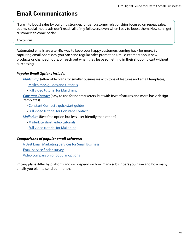# **Email Communications**

**"**I want to boost sales by building stronger, longer customer relationships focused on repeat sales, but my social media ads don't reach all of my followers, even when I pay to boost them. How can I get customers to come back?"

Anonymous

Automated emails are a terrific way to keep your happy customers coming back for more. By capturing email addresses, you can send regular sales promotions, tell customers about new products or changed hours, or reach out when they leave something in their shopping cart without purchasing.

### *Popular Email Options include:*

- *[Mailchimp](https://mailchimp.com/resources/mailchimp-101/)* (affordable plans for smaller businesses with tons of features and email templates)
	- [Mailchimp's guides and tutorials](https://mailchimp.com/help/)
	- [Full video tutorial for Mailchimp](https://www.youtube.com/watch?v=IWeCs6oNeks)
- *[Constant Contact](https://www.constantcontact.com/email-marketing?gclsrc=aw.ds&&cc=GOO-234736&pn=search&gclid=Cj0KCQiA15yNBhDTARIsAGnwe0XF39siNYFRJieFzfUQ6w9YPfF166DqWvAu9FICVDpftE7Jyh3OqE4aApaaEALw_wcB&gclsrc=aw.ds&nclid=9oDYRt84Hk5psegpxZo0hUMHOxCz_d2Wt6E88I9JYXD5jGYu9WIcxMXgqTWSGatT)* (easy to use for nonmarketers, but with fewer features and more basic design templates)
	- [Constant Contact's quickstart guides](https://knowledgebase.constantcontact.com/ToolkitPKBFAQs?t=guide&lang=en_US)
	- [Full video tutorial for Constant Contact](https://www.youtube.com/watch?v=xLg3RQ_gD0s)
- • *[MailerLite](https://www.mailerlite.com/features)* (Best free option but less user friendly than others)
	- [MailerLite short video tutorials](https://www.mailerlite.com/video-tutorials)
	- [Full video tutorial for MailerLite](https://www.youtube.com/watch?v=6W0n7fBmavc&t=0s)

### *Comparisons of popular email software:*

- [6 Best Email Marketing Services for Small Business](https://www.websitebuilderexpert.com/email-marketing/small-business-services/)
- [Email service finder survey](https://www.emailtooltester.com/en/newsletter-service-smart-finder/)
- [Video comparison of popular options](https://www.youtube.com/watch?v=WE4A-cTWonA)

Pricing plans differ by platform and will depend on how many subscribers you have and how many emails you plan to send per month.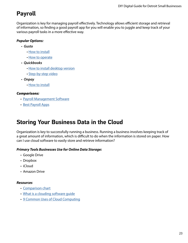# **Payroll**

Organization is key for managing payroll effectively. Technology allows efficient storage and retrieval of information, so finding a good payroll app for you will enable you to juggle and keep track of your various payroll tasks in a more effective way.

### *Popular Options:*

- *Gusto*
	- How to instal[l](https://help.collective.com/en/articles/4685438-gusto-setup)
	- How to operate
- *Quickbooks*
	- How to install desktop version
	- Step-by-step video
- *Onpay*
	- How to install

### *Comparisons:*

- Payroll Management Software
- Best Payroll Apps

# **Storing Your Business Data in the Cloud**

Organization is key to successfully running a business. Running a business involves keeping track of a great amount of information, which is difficult to do when the information is stored on paper. How can I use cloud software to easily store and retrieve information?

### *Primary Tools Businesses Use for Online Data Storage:*

- Google Drive
- Dropbox
- iCloud
- Amazon Drive

### *Resources*

- [Comparison chart](https://www.itbusinessedge.com/cloud/compare-top-cloud-providers/)
- What is a clouding software quide
- [9 Common Uses of Cloud Computing](https://digitalcloud.training/9-common-uses-of-cloud-  
      computing/)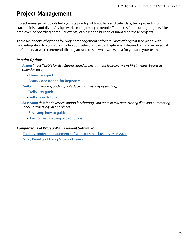# **Project Management**

Project management tools help you stay on top of to-do lists and calendars, track projects from start to finish, and divide/assign work among multiple people. Templates for recurring projects (like employee onboarding or regular events) can ease the burden of managing these projects.

There are dozens of options for project management software. Most offer great free plans, with paid integration to connect outside apps. Selecting the best option will depend largely on personal preference, so we recommend clicking around to see what works best for you and your team.

### *Popular Options:*

- *[Asana](https://asana.com/) (most flexible for structuring varied projects; multiple project views like timeline, board, list, calendar, etc.)*
	- [Asana user guide](https://asana.com/guide)
	- [Asana video tutorial for beginners](https://www.youtube.com/watch?v=iKsO9zx9n2Q)
- *[Trello](https://trello.com/) (intuitive drag and drop interface; most visually appealing)*
	- [Trello user guide](https://trello.com/en-US/guide/trello-101)
	- [Trello video tutorial](https://www.youtube.com/watch?v=aGVnI7hdo2E)
- *[Basecamp](https://basecamp.com/how-it-works) (less intuitive; best option for chatting with team in real time, storing files, and automating check-ins/meetings in one place)*
	- [Basecamp how-to guides](https://3.basecamp-help.com/)
	- [How to use Basecamp video tutorial](https://www.youtube.com/watch?v=nbLG091-tGE)

### *Comparisons of Project Management Software:*

- [The best project management software for small businesses in 2021](https://zapier.com/blog/best-project-management-software-small-business/)
- [6 Key Benefits of Using Microsoft Teams](https://www.conosco.com/blog/6-key-benefits-of-using-microsoft-teams/#:~:text=Benefits%20of%20Microsoft%20Teams.%201%20Streamlined%20communications.%20Effective,%205%20Host%20smarter%20meetings.%20%20More%20items)